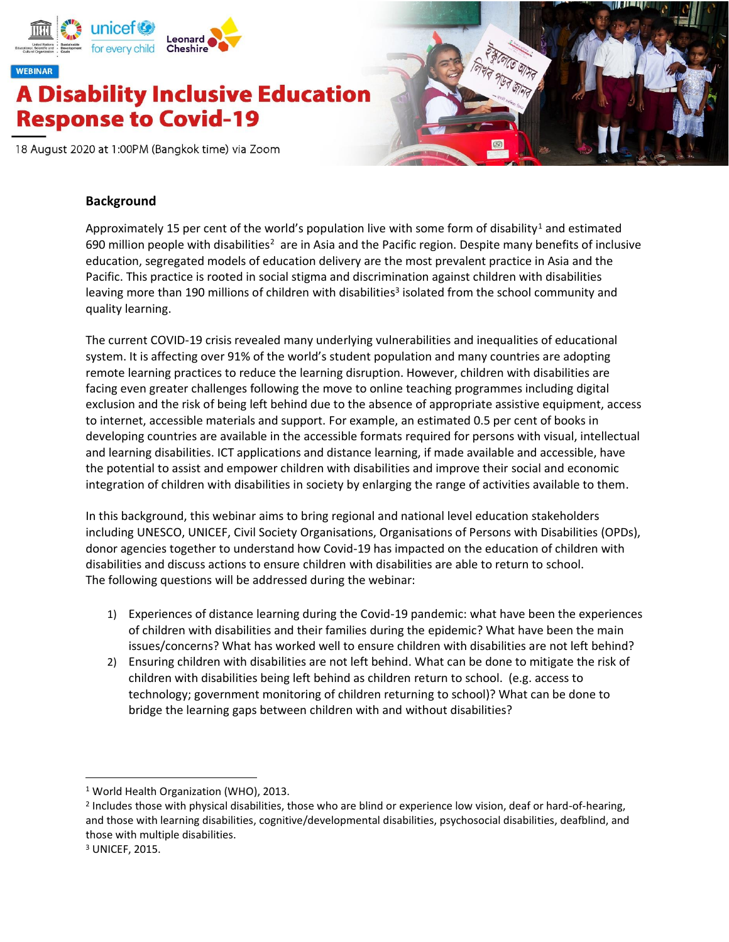



#### **Background**

Approximately 15 per cent of the world's population live with some form of disability<sup>1</sup> and estimated 690 million people with disabilities<sup>2</sup> are in Asia and the Pacific region. Despite many benefits of inclusive education, segregated models of education delivery are the most prevalent practice in Asia and the Pacific. This practice is rooted in social stigma and discrimination against children with disabilities leaving more than 190 millions of children with disabilities<sup>3</sup> isolated from the school community and quality learning.

The current COVID-19 crisis revealed many underlying vulnerabilities and inequalities of educational system. It is affecting over 91% of the world's student population and many countries are adopting remote learning practices to reduce the learning disruption. However, children with disabilities are facing even greater challenges following the move to online teaching programmes including digital exclusion and the risk of being left behind due to the absence of appropriate assistive equipment, access to internet, accessible materials and support. For example, an estimated 0.5 per cent of books in developing countries are available in the accessible formats required for persons with visual, intellectual and learning disabilities. ICT applications and distance learning, if made available and accessible, have the potential to assist and empower children with disabilities and improve their social and economic integration of children with disabilities in society by enlarging the range of activities available to them.

In this background, this webinar aims to bring regional and national level education stakeholders including UNESCO, UNICEF, Civil Society Organisations, Organisations of Persons with Disabilities (OPDs), donor agencies together to understand how Covid-19 has impacted on the education of children with disabilities and discuss actions to ensure children with disabilities are able to return to school. The following questions will be addressed during the webinar:

- 1) Experiences of distance learning during the Covid-19 pandemic: what have been the experiences of children with disabilities and their families during the epidemic? What have been the main issues/concerns? What has worked well to ensure children with disabilities are not left behind?
- 2) Ensuring children with disabilities are not left behind. What can be done to mitigate the risk of children with disabilities being left behind as children return to school. (e.g. access to technology; government monitoring of children returning to school)? What can be done to bridge the learning gaps between children with and without disabilities?

<sup>1</sup> World Health Organization (WHO), 2013.

<sup>&</sup>lt;sup>2</sup> Includes those with physical disabilities, those who are blind or experience low vision, deaf or hard-of-hearing, and those with learning disabilities, cognitive/developmental disabilities, psychosocial disabilities, deafblind, and those with multiple disabilities.

<sup>3</sup> UNICEF, 2015.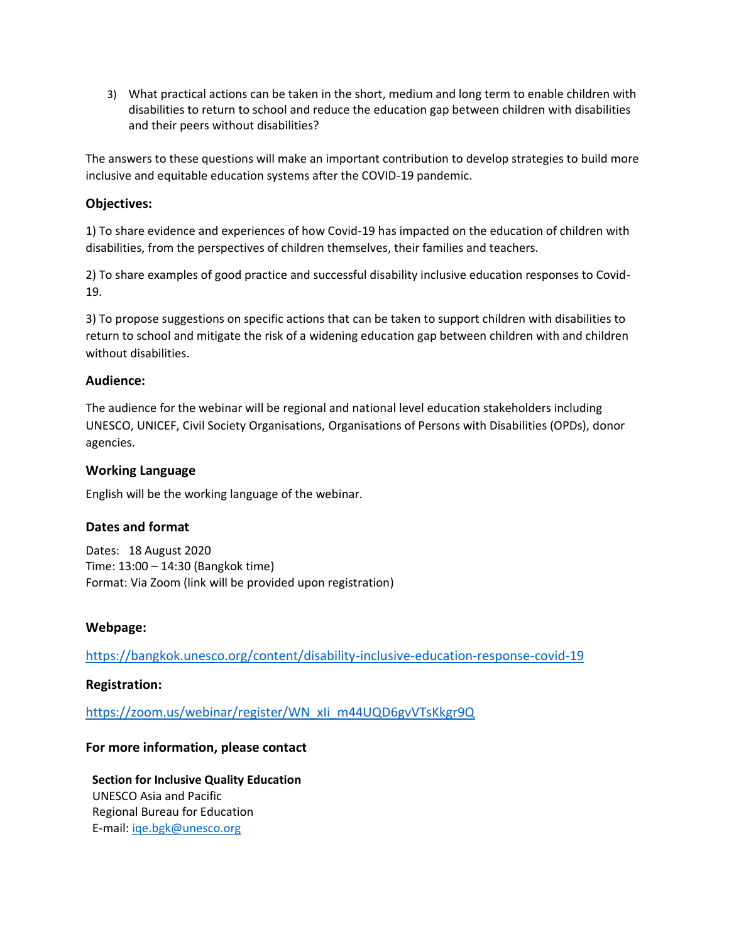3) What practical actions can be taken in the short, medium and long term to enable children with disabilities to return to school and reduce the education gap between children with disabilities and their peers without disabilities?

The answers to these questions will make an important contribution to develop strategies to build more inclusive and equitable education systems after the COVID-19 pandemic.

### **Objectives:**

1) To share evidence and experiences of how Covid-19 has impacted on the education of children with disabilities, from the perspectives of children themselves, their families and teachers.

2) To share examples of good practice and successful disability inclusive education responses to Covid-19.

3) To propose suggestions on specific actions that can be taken to support children with disabilities to return to school and mitigate the risk of a widening education gap between children with and children without disabilities.

#### **Audience:**

The audience for the webinar will be regional and national level education stakeholders including UNESCO, UNICEF, Civil Society Organisations, Organisations of Persons with Disabilities (OPDs), donor agencies.

### **Working Language**

English will be the working language of the webinar.

## **Dates and format**

Dates: 18 August 2020 Time: 13:00 – 14:30 (Bangkok time) Format: Via Zoom (link will be provided upon registration)

## **Webpage:**

<https://bangkok.unesco.org/content/disability-inclusive-education-response-covid-19>

#### **Registration:**

[https://zoom.us/webinar/register/WN\\_xIi\\_m44UQD6gvVTsKkgr9Q](https://zoom.us/webinar/register/WN_xIi_m44UQD6gvVTsKkgr9Q)

## **For more information, please contact**

**Section for Inclusive Quality Education** UNESCO Asia and Pacific Regional Bureau for Education E-mail[: iqe.bgk@unesco.org](mailto:iqe.bgk@unesco.org)